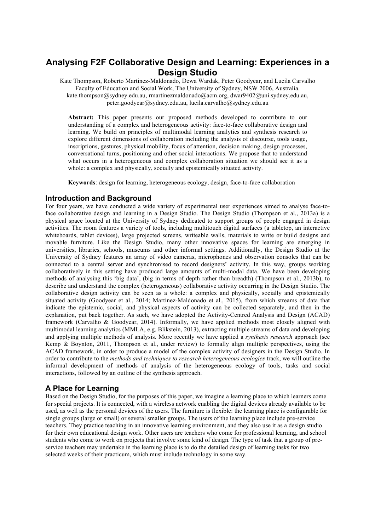# **Analysing F2F Collaborative Design and Learning: Experiences in a Design Studio**

Kate Thompson, Roberto Martinez-Maldonado, Dewa Wardak, Peter Goodyear, and Lucila Carvalho Faculty of Education and Social Work, The University of Sydney, NSW 2006, Australia. kate.thompson@sydney.edu.au, rmartinezmaldonado@acm.org, dwar9402@uni.sydney.edu.au, peter.goodyear@sydney.edu.au, lucila.carvalho@sydney.edu.au

**Abstract:** This paper presents our proposed methods developed to contribute to our understanding of a complex and heterogeneous activity: face-to-face collaborative design and learning. We build on principles of multimodal learning analytics and synthesis research to explore different dimensions of collaboration including the analysis of discourse, tools usage, inscriptions, gestures, physical mobility, focus of attention, decision making, design processes, conversational turns, positioning and other social interactions. We propose that to understand what occurs in a heterogeneous and complex collaboration situation we should see it as a whole: a complex and physically, socially and epistemically situated activity.

**Keywords**: design for learning, heterogeneous ecology, design, face-to-face collaboration

## **Introduction and Background**

For four years, we have conducted a wide variety of experimental user experiences aimed to analyse face-toface collaborative design and learning in a Design Studio. The Design Studio (Thompson et al., 2013a) is a physical space located at the University of Sydney dedicated to support groups of people engaged in design activities. The room features a variety of tools, including multitouch digital surfaces (a tabletop, an interactive whiteboards, tablet devices), large projected screens, writeable walls, materials to write or build designs and movable furniture. Like the Design Studio, many other innovative spaces for learning are emerging in universities, libraries, schools, museums and other informal settings. Additionally, the Design Studio at the University of Sydney features an array of video cameras, microphones and observation consoles that can be connected to a central server and synchronised to record designers' activity. In this way, groups working collaboratively in this setting have produced large amounts of multi-modal data. We have been developing methods of analysing this 'big data', (big in terms of depth rather than breadth) (Thompson et al., 2013b), to describe and understand the complex (heterogeneous) collaborative activity occurring in the Design Studio. The collaborative design activity can be seen as a whole: a complex and physically, socially and epistemically situated activity (Goodyear et al., 2014; Martinez-Maldonado et al., 2015), from which streams of data that indicate the epistemic, social, and physical aspects of activity can be collected separately, and then in the explanation, put back together. As such, we have adopted the Activity-Centred Analysis and Design (ACAD) framework (Carvalho & Goodyear, 2014). Informally, we have applied methods most closely aligned with multimodal learning analytics (MMLA, e.g. Blikstein, 2013), extracting multiple streams of data and developing and applying multiple methods of analysis. More recently we have applied a *synthesis research* approach (see Kemp & Boynton, 2011, Thompson et al., under review) to formally align multiple perspectives, using the ACAD framework, in order to produce a model of the complex activity of designers in the Design Studio. In order to contribute to the *methods and techniques to research heterogeneous ecologies* track, we will outline the informal development of methods of analysis of the heterogeneous ecology of tools, tasks and social interactions, followed by an outline of the synthesis approach.

# **A Place for Learning**

Based on the Design Studio, for the purposes of this paper, we imagine a learning place to which learners come for special projects. It is connected, with a wireless network enabling the digital devices already available to be used, as well as the personal devices of the users. The furniture is flexible: the learning place is configurable for single groups (large or small) or several smaller groups. The users of the learning place include pre-service teachers. They practice teaching in an innovative learning environment, and they also use it as a design studio for their own educational design work. Other users are teachers who come for professional learning, and school students who come to work on projects that involve some kind of design. The type of task that a group of preservice teachers may undertake in the learning place is to do the detailed design of learning tasks for two selected weeks of their practicum, which must include technology in some way.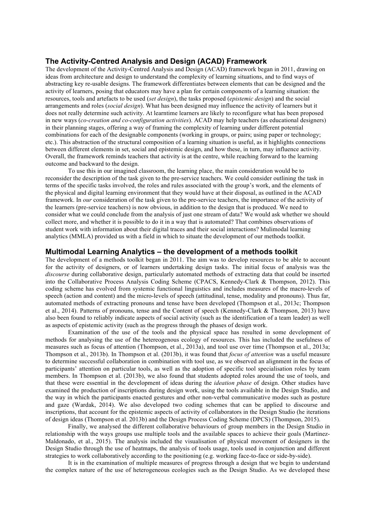#### **The Activity-Centred Analysis and Design (ACAD) Framework**

The development of the Activity-Centred Analysis and Design (ACAD) framework began in 2011, drawing on ideas from architecture and design to understand the complexity of learning situations, and to find ways of abstracting key re-usable designs. The framework differentiates between elements that can be designed and the activity of learners, posing that educators may have a plan for certain components of a learning situation: the resources, tools and artefacts to be used (*set design*), the tasks proposed (*epistemic design*) and the social arrangements and roles (*social design*). What has been designed may influence the activity of learners but it does not really determine such activity. At learntime learners are likely to reconfigure what has been proposed in new ways (*co-creation and co-configuration activities*). ACAD may help teachers (as educational designers) in their planning stages, offering a way of framing the complexity of learning under different potential combinations for each of the designable components (working in groups, or pairs; using paper or technology; etc.). This abstraction of the structural composition of a learning situation is useful, as it highlights connections between different elements in set, social and epistemic design, and how these, in turn, may influence activity. Overall, the framework reminds teachers that activity is at the centre, while reaching forward to the learning outcome and backward to the design.

To use this in our imagined classroom, the learning place, the main consideration would be to reconsider the description of the task given to the pre-service teachers. We could consider outlining the task in terms of the specific tasks involved, the roles and rules associated with the group's work, and the elements of the physical and digital learning environment that they would have at their disposal, as outlined in the ACAD framework. In *our* consideration of the task given to the pre-service teachers, the importance of the activity of the learners (pre-service teachers) is now obvious, in addition to the design that is produced. We need to consider what we could conclude from the analysis of just one stream of data? We would ask whether we should collect more, and whether it is possible to do it in a way that is automated? That combines observations of student work with information about their digital traces and their social interactions? Mulimodal learning analytics (MMLA) provided us with a field in which to situate the development of our methods toolkit.

#### **Multimodal Learning Analytics – the development of a methods toolkit**

The development of a methods toolkit began in 2011. The aim was to develop resources to be able to account for the activity of designers, or of learners undertaking design tasks. The initial focus of analysis was the *discourse* during collaborative design, particularly automated methods of extracting data that could be inserted into the Collaborative Process Analysis Coding Scheme (CPACS, Kennedy-Clark & Thompson, 2012). This coding scheme has evolved from systemic functional linguistics and includes measures of the macro-levels of speech (action and content) and the micro-levels of speech (attitudinal, tense, modality and pronouns). Thus far, automated methods of extracting pronouns and tense have been developed (Thompson et al., 2013c; Thompson et al., 2014). Patterns of pronouns, tense and the Content of speech (Kennedy-Clark & Thompson, 2013) have also been found to reliably indicate aspects of social activity (such as the identification of a team leader) as well as aspects of epistemic activity (such as the progress through the phases of design work.

Examination of the use of the tools and the physical space has resulted in some development of methods for analysing the use of the hetereogenous ecology of resources. This has included the usefulness of measures such as focus of attention (Thompson, et al., 2013a), and tool use over time (Thompson et al., 2013a; Thompson et al., 2013b). In Thompson et al. (2013b), it was found that *focus of attention* was a useful measure to determine successful collaboration in combination with tool use, as we observed an alignment in the focus of participants' attention on particular tools, as well as the adoption of specific tool specialisation roles by team members. In Thompson et al. (2013b), we also found that students adopted roles around the use of tools, and that these were essential in the development of ideas during the *ideation phase* of design. Other studies have examined the production of inscriptions during design work, using the tools available in the Design Studio, and the way in which the participants enacted gestures and other non-verbal communicative modes such as posture and gaze (Wardak, 2014). We also developed two coding schemes that can be applied to discourse and inscriptions, that account for the epistemic aspects of activity of collaborators in the Design Studio (he iterations of design ideas (Thompson et al. 2013b) and the Design Process Coding Scheme (DPCS) (Thompson, 2015).

Finally, we analysed the different collaborative behaviours of group members in the Design Studio in relationship with the ways groups use multiple tools and the available spaces to achieve their goals (Martinez-Maldonado, et al., 2015). The analysis included the visualisation of physical movement of designers in the Design Studio through the use of heatmaps, the analysis of tools usage, tools used in conjunction and different strategies to work collaboratively according to the positioning (e.g. working face-to-face or side-by-side).

It is in the examination of multiple measures of progress through a design that we begin to understand the complex nature of the use of heterogeneous ecologies such as the Design Studio. As we developed these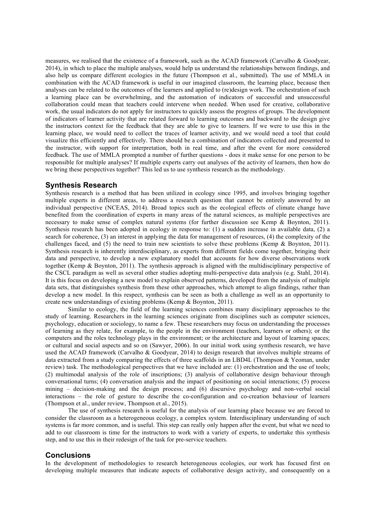measures, we realised that the existence of a framework, such as the ACAD framework (Carvalho & Goodyear, 2014), in which to place the multiple analyses, would help us understand the relationships between findings, and also help us compare different ecologies in the future (Thompson et al., submitted). The use of MMLA in combination with the ACAD framework is useful in our imagined classroom, the learning place, because then analyses can be related to the outcomes of the learners and applied to (re)design work. The orchestration of such a learning place can be overwhelming, and the automation of indicators of successful and unsuccessful collaboration could mean that teachers could intervene when needed. When used for creative, collaborative work, the usual indicators do not apply for instructors to quickly assess the progress of groups. The development of indicators of learner activity that are related forward to learning outcomes and backward to the design give the instructors context for the feedback that they are able to give to learners. If we were to use this in the learning place, we would need to collect the traces of learner activity, and we would need a tool that could visualize this efficiently and effectively. There should be a combination of indicators collected and presented to the instructor, with support for interpretation, both in real time, and after the event for more considered feedback. The use of MMLA prompted a number of further questions - does it make sense for one person to be responsible for multiple analyses? If multiple experts carry out analyses of the activity of learners, then how do we bring these perspectives together? This led us to use synthesis research as the methodology.

## **Synthesis Research**

Synthesis research is a method that has been utilized in ecology since 1995, and involves bringing together multiple experts in different areas, to address a research question that cannot be entirely answered by an individual perspective (NCEAS, 2014). Broad topics such as the ecological effects of climate change have benefited from the coordination of experts in many areas of the natural sciences, as multiple perspectives are necessary to make sense of complex natural systems (for further discussion see Kemp & Boynton, 2011). Synthesis research has been adopted in ecology in response to: (1) a sudden increase in available data, (2) a search for coherence, (3) an interest in applying the data for management of resources, (4) the complexity of the challenges faced, and (5) the need to train new scientists to solve these problems (Kemp & Boynton, 2011). Synthesis research is inherently interdisciplinary, as experts from different fields come together, bringing their data and perspective, to develop a new explanatory model that accounts for how diverse observations work together (Kemp & Boynton, 2011). The synthesis approach is aligned with the multidisciplinary perspective of the CSCL paradigm as well as several other studies adopting multi-perspective data analysis (e.g. Stahl, 2014). It is this focus on developing a new model to explain observed patterns, developed from the analysis of multiple data sets, that distinguishes synthesis from these other approaches, which attempt to align findings, rather than develop a new model. In this respect, synthesis can be seen as both a challenge as well as an opportunity to create new understandings of existing problems (Kemp & Boynton, 2011).

Similar to ecology, the field of the learning sciences combines many disciplinary approaches to the study of learning. Researchers in the learning sciences originate from disciplines such as computer sciences, psychology, education or sociology, to name a few. These researchers may focus on understanding the processes of learning as they relate, for example, to the people in the environment (teachers, learners or others); or the computers and the roles technology plays in the environment; or the architecture and layout of learning spaces; or cultural and social aspects and so on (Sawyer, 2006). In our initial work using synthesis research, we have used the ACAD framework (Carvalho & Goodyear, 2014) to design research that involves multiple streams of data extracted from a study comparing the effects of three scaffolds in an LBD4L (Thompson & Yeoman, under review) task. The methodological perspectives that we have included are: (1) orchestration and the use of tools; (2) multimodal analysis of the role of inscriptions; (3) analysis of collaborative design behaviour through conversational turns; (4) conversation analysis and the impact of positioning on social interactions; (5) process mining – decision-making and the design process; and (6) discursive psychology and non-verbal social interactions – the role of gesture to describe the co-configuration and co-creation behaviour of learners (Thompson et al., under review, Thompson et al., 2015).

The use of synthesis research is useful for the analysis of our learning place because we are forced to consider the classroom as a heterogeneous ecology, a complex system. Interdisciplinary understanding of such systems is far more common, and is useful. This step can really only happen after the event, but what we need to add to our classroom is time for the instructors to work with a variety of experts, to undertake this synthesis step, and to use this in their redesign of the task for pre-service teachers.

#### **Conclusions**

In the development of methodologies to research heterogeneous ecologies, our work has focused first on developing multiple measures that indicate aspects of collaborative design activity, and consequently on a